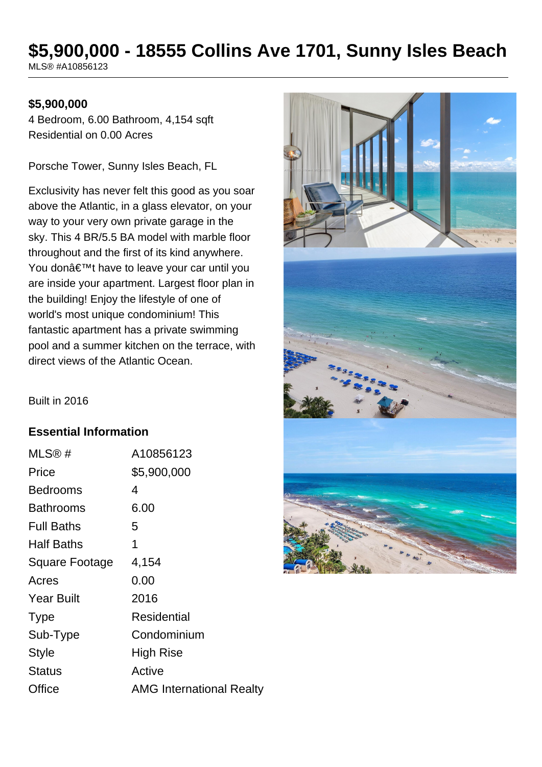# **\$5,900,000 - 18555 Collins Ave 1701, Sunny Isles Beach**

MLS® #A10856123

## **\$5,900,000**

4 Bedroom, 6.00 Bathroom, 4,154 sqft Residential on 0.00 Acres

Porsche Tower, Sunny Isles Beach, FL

Exclusivity has never felt this good as you soar above the Atlantic, in a glass elevator, on your way to your very own private garage in the sky. This 4 BR/5.5 BA model with marble floor throughout and the first of its kind anywhere. You don't have to leave your car until you are inside your apartment. Largest floor plan in the building! Enjoy the lifestyle of one of world's most unique condominium! This fantastic apartment has a private swimming pool and a summer kitchen on the terrace, with direct views of the Atlantic Ocean.



Built in 2016

## **Essential Information**

| A10856123                       |
|---------------------------------|
| \$5,900,000                     |
| 4                               |
| 6.00                            |
| 5                               |
| 1                               |
| 4,154                           |
| 0.00                            |
| 2016                            |
| Residential                     |
| Condominium                     |
| <b>High Rise</b>                |
| Active                          |
| <b>AMG International Realty</b> |
|                                 |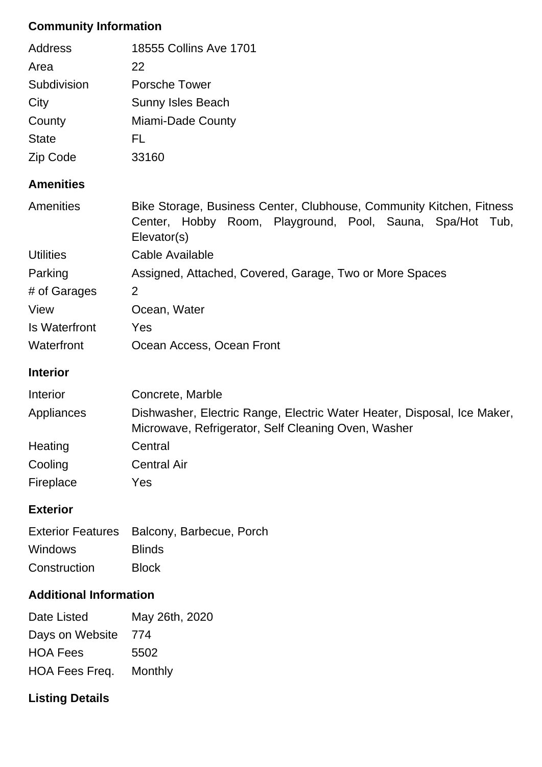# **Community Information**

|                               | $\sim$<br>$\sim$                                                                                                                                 |  |  |
|-------------------------------|--------------------------------------------------------------------------------------------------------------------------------------------------|--|--|
| <b>Additional Information</b> |                                                                                                                                                  |  |  |
| Construction                  | <b>Block</b>                                                                                                                                     |  |  |
| <b>Windows</b>                | <b>Blinds</b>                                                                                                                                    |  |  |
| <b>Exterior Features</b>      | Balcony, Barbecue, Porch                                                                                                                         |  |  |
| <b>Exterior</b>               |                                                                                                                                                  |  |  |
| Fireplace                     | Yes                                                                                                                                              |  |  |
| Cooling                       | <b>Central Air</b>                                                                                                                               |  |  |
| Heating                       | Central                                                                                                                                          |  |  |
|                               | Microwave, Refrigerator, Self Cleaning Oven, Washer                                                                                              |  |  |
| Appliances                    | Dishwasher, Electric Range, Electric Water Heater, Disposal, Ice Maker,                                                                          |  |  |
| Interior                      | Concrete, Marble                                                                                                                                 |  |  |
| <b>Interior</b>               |                                                                                                                                                  |  |  |
| Waterfront                    | Ocean Access, Ocean Front                                                                                                                        |  |  |
| <b>Is Waterfront</b>          | Yes                                                                                                                                              |  |  |
| View                          | Ocean, Water                                                                                                                                     |  |  |
| # of Garages                  | $\overline{2}$                                                                                                                                   |  |  |
| Parking                       | Assigned, Attached, Covered, Garage, Two or More Spaces                                                                                          |  |  |
| <b>Utilities</b>              | Cable Available                                                                                                                                  |  |  |
| Amenities                     | Bike Storage, Business Center, Clubhouse, Community Kitchen, Fitness<br>Center, Hobby Room, Playground, Pool, Sauna, Spa/Hot Tub,<br>Elevator(s) |  |  |
| <b>Amenities</b>              |                                                                                                                                                  |  |  |
| Zip Code                      | 33160                                                                                                                                            |  |  |
| <b>State</b>                  | FL.                                                                                                                                              |  |  |
| County                        | Miami-Dade County                                                                                                                                |  |  |
| City                          | Sunny Isles Beach                                                                                                                                |  |  |
| Subdivision                   | <b>Porsche Tower</b>                                                                                                                             |  |  |
| Area                          | 22                                                                                                                                               |  |  |
| <b>Address</b>                | 18555 Collins Ave 1701                                                                                                                           |  |  |

| Date Listed                   | May 26th, 2020 |
|-------------------------------|----------------|
| Days on Website               | 774            |
| <b>HOA Fees</b>               | 5502           |
| <b>HOA Fees Freq. Monthly</b> |                |

# **Listing Details**